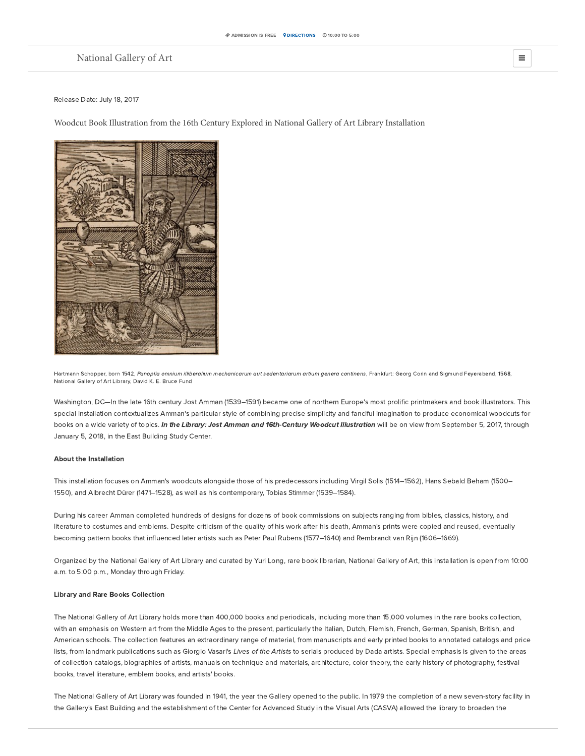# [National](https://www.nga.gov/content/ngaweb.html) Gallery of Art  $\equiv$

## Release Date: July 18, 2017

Woodcut Book Illustration from the 16th Century Explored in National Gallery of Art Library Installation



Hartmann Schopper, born 1542, Panoplia omnium illiberalium mechanicarum aut sedentariarum artium genera continens, Frankfurt: Georg Corin and Sigmund Feyerabend, 1568, National Gallery of Art Library, David K. E. Bruce Fund

Washington, DC—In the late 16th century Jost Amman (1539–1591) became one of northern Europe's most prolific printmakers and book illustrators. This special installation contextualizes Amman's particular style of combining precise simplicity and fanciful imagination to produce economical woodcuts for books on a wide variety of topics. In the Library: Jost Amman and 16th-Century Woodcut Illustration will be on view from September 5, 2017, through January 5, 2018, in the East Building Study Center.

## About the Installation

This installation focuses on Amman's woodcuts alongside those of his predecessors including Virgil Solis (1514–1562), Hans Sebald Beham (1500– 1550), and Albrecht Dürer (1471–1528), as well as his contemporary, Tobias Stimmer (1539–1584).

During his career Amman completed hundreds of designs for dozens of book commissions on subjects ranging from bibles, classics, history, and literature to costumes and emblems. Despite criticism of the quality of his work after his death, Amman's prints were copied and reused, eventually becoming pattern books that influenced later artists such as Peter Paul Rubens (1577–1640) and Rembrandt van Rijn (1606–1669).

Organized by the National Gallery of Art Library and curated by Yuri Long, rare book librarian, National Gallery of Art, this installation is open from 10:00 a.m. to 5:00 p.m., Monday through Friday.

## Library and Rare Books Collection

The National Gallery of Art Library holds more than 400,000 books and periodicals, including more than 15,000 volumes in the rare books collection, with an emphasis on Western art from the Middle Ages to the present, particularly the Italian, Dutch, Flemish, French, German, Spanish, British, and American schools. The collection features an extraordinary range of material, from manuscripts and early printed books to annotated catalogs and price lists, from landmark publications such as Giorgio Vasari's Lives of the Artists to serials produced by Dada artists. Special emphasis is given to the areas of collection catalogs, biographies of artists, manuals on technique and materials, architecture, color theory, the early history of photography, festival books, travel literature, emblem books, and artists' books.

The National Gallery of Art Library was founded in 1941, the year the Gallery opened to the public. In 1979 the completion of a new seven-story facility in the Gallery's East Building and the establishment of the Center for Advanced Study in the Visual Arts (CASVA) allowed the library to broaden the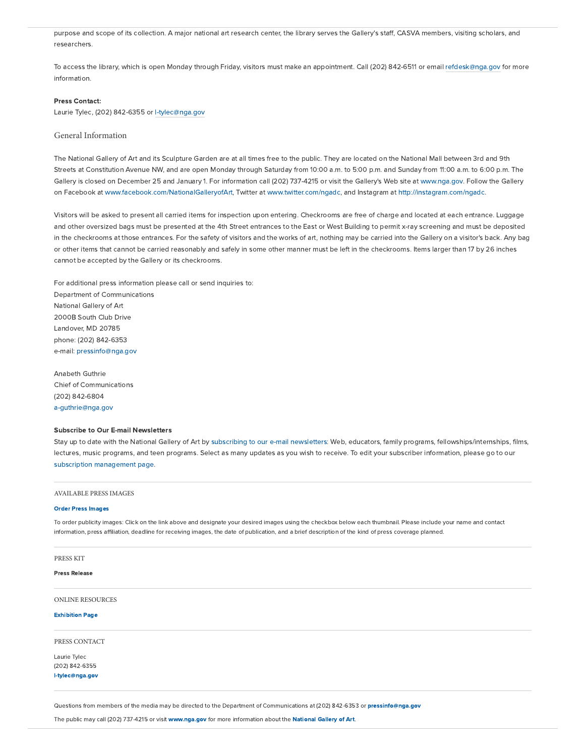purpose and scope of its collection. A major national art research center, the library serves the Gallery's staff, CASVA members, visiting scholars, and researchers.

To access the library, which is open Monday through Friday, visitors must make an appointment. Call (202) 842-6511 or email [refdesk@nga.gov](mailto:refdesk@nga.gov) for more information.

### Press Contact:

Laurie Tylec, (202) 842-6355 or [l-tylec@nga.gov](mailto:l-tylec@nga.gov)

## General Information

The National Gallery of Art and its Sculpture Garden are at all times free to the public. They are located on the National Mall between 3rd and 9th Streets at Constitution Avenue NW, and are open Monday through Saturday from 10:00 a.m. to 5:00 p.m. and Sunday from 11:00 a.m. to 6:00 p.m. The Gallery is closed on December 25 and January 1. For information call (202) 737-4215 or visit the Gallery's Web site at [www.nga.gov](https://www.nga.gov/content/ngaweb.html). Follow the Gallery on Facebook at [www.facebook.com/NationalGalleryofArt,](http://www.facebook.com/NationalGalleryofArt) Twitter at [www.twitter.com/ngadc](http://www.twitter.com/ngadc), and Instagram at <http://instagram.com/ngadc>.

Visitors will be asked to present all carried items for inspection upon entering. Checkrooms are free of charge and located at each entrance. Luggage and other oversized bags must be presented at the 4th Street entrances to the East or West Building to permit x-ray screening and must be deposited in the checkrooms at those entrances. For the safety of visitors and the works of art, nothing may be carried into the Gallery on a visitor's back. Any bag or other items that cannot be carried reasonably and safely in some other manner must be left in the checkrooms. Items larger than 17 by 26 inches cannot be accepted by the Gallery or its checkrooms.

For additional press information please call or send inquiries to: Department of Communications National Gallery of Art 2000B South Club Drive Landover, MD 20785 phone: (202) 842-6353 e-mail: [pressinfo@nga.gov](mailto:pressinfo@nga.gov)

Anabeth Guthrie Chief of Communications (202) 842-6804 [a-guthrie@nga.gov](mailto:a-guthrie@nga.gov)

### Subscribe to Our E-mail Newsletters

Stay up to date with the National Gallery of Art by subscribing to our e-mail [newsletters:](http://subscribe.nga.gov/subscription_form_ngart.cfm) Web, educators, family programs, fellowships/internships, films, lectures, music programs, and teen programs. Select as many updates as you wish to receive. To edit your subscriber information, please go to our subscription [management](http://subscribe.nga.gov/subscription_manage_NGart.cfm) page.

#### AVAILABLE PRESS IMAGES

#### Order Press [Images](https://www.nga.gov/content/ngaweb/press/2017/amman/images.html)

To order publicity images: Click on the link above and designate your desired images using the checkbox below each thumbnail. Please include your name and contact information, press affiliation, deadline for receiving images, the date of publication, and a brief description of the kind of press coverage planned.

#### PRESS KIT

#### Press Release

ONLINE RESOURCES

### [Exhibition](https://www.nga.gov/content/ngaweb/exhibitions/2017/in-the-library-jost-jmman-sixteenth-century-woodcut-illustration.html) Page

PRESS CONTACT

Laurie Tylec (202) 842-6355 [l-tylec@nga.gov](mailto:l-tylec@nga.gov)

Questions from members of the media may be directed to the Department of Communications at (202) 842-6353 or [pressinfo@nga.gov](mailto:pressinfo@nga.gov)

The public may call (202) 737-4215 or visit [www.nga.gov](https://www.nga.gov/content/ngaweb.html) for more information about the [National](https://www.nga.gov/content/ngaweb.html) Gallery of Art.